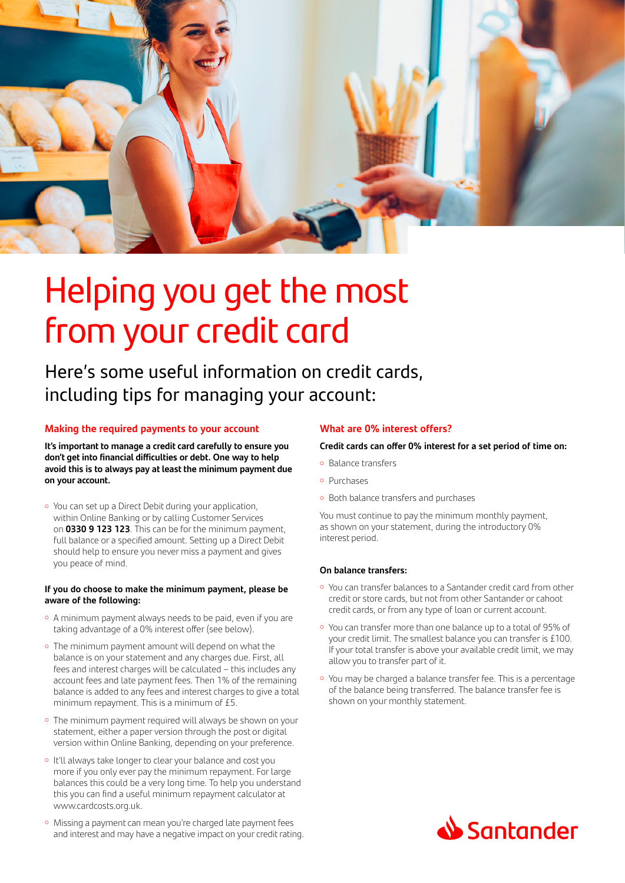

# Helping you get the most from your credit card

Here's some useful information on credit cards, including tips for managing your account:

#### **Making the required payments to your account**

**It's important to manage a credit card carefully to ensure you don't get into financial difficulties or debt. One way to help avoid this is to always pay at least the minimum payment due on your account.**

o You can set up a Direct Debit during your application, within Online Banking or by calling Customer Services on **0330 9 123 123**. This can be for the minimum payment, full balance or a specified amount. Setting up a Direct Debit should help to ensure you never miss a payment and gives you peace of mind.

#### **If you do choose to make the minimum payment, please be aware of the following:**

- A minimum payment always needs to be paid, even if you are taking advantage of a 0% interest offer (see below).
- The minimum payment amount will depend on what the balance is on your statement and any charges due. First, all fees and interest charges will be calculated – this includes any account fees and late payment fees. Then 1% of the remaining balance is added to any fees and interest charges to give a total minimum repayment. This is a minimum of £5.
- The minimum payment required will always be shown on your statement, either a paper version through the post or digital version within Online Banking, depending on your preference.
- o It'll always take longer to clear your balance and cost you more if you only ever pay the minimum repayment. For large balances this could be a very long time. To help you understand this you can find a useful minimum repayment calculator at www.cardcosts.org.uk.
- o Missing a payment can mean you're charged late payment fees and interest and may have a negative impact on your credit rating.

#### **What are 0% interest offers?**

#### **Credit cards can offer 0% interest for a set period of time on:**

- · Balance transfers
- Purchases
- o Both balance transfers and purchases

You must continue to pay the minimum monthly payment, as shown on your statement, during the introductory 0% interest period.

#### **On balance transfers:**

- o You can transfer balances to a Santander credit card from other credit or store cards, but not from other Santander or cahoot credit cards, or from any type of loan or current account.
- You can transfer more than one balance up to a total of 95% of your credit limit. The smallest balance you can transfer is £100. If your total transfer is above your available credit limit, we may allow you to transfer part of it.
- o You may be charged a balance transfer fee. This is a percentage of the balance being transferred. The balance transfer fee is shown on your monthly statement.

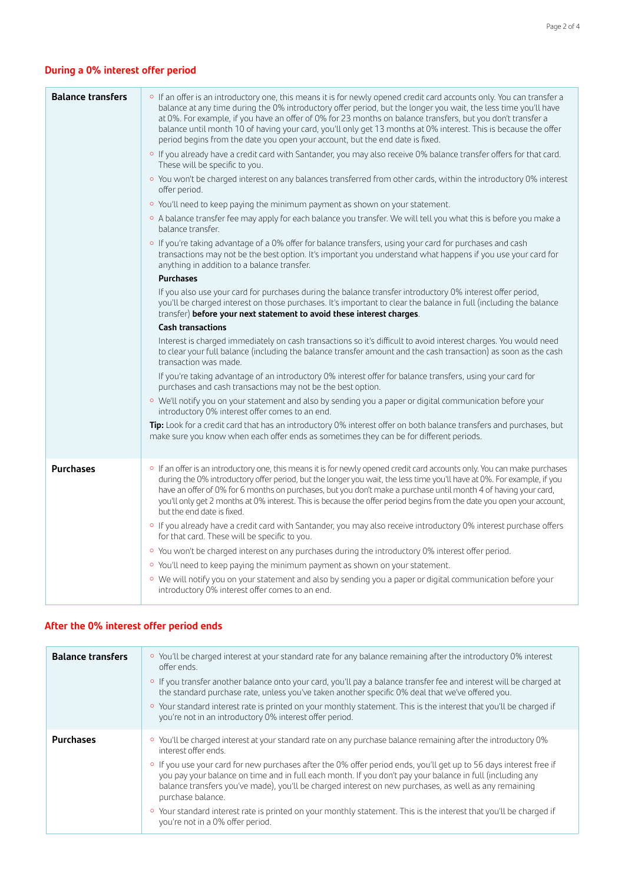# **During a 0% interest offer period**

| <b>Balance transfers</b> | o If an offer is an introductory one, this means it is for newly opened credit card accounts only. You can transfer a<br>balance at any time during the 0% introductory offer period, but the longer you wait, the less time you'll have<br>at 0%. For example, if you have an offer of 0% for 23 months on balance transfers, but you don't transfer a<br>balance until month 10 of having your card, you'll only get 13 months at 0% interest. This is because the offer<br>period begins from the date you open your account, but the end date is fixed.<br>o If you already have a credit card with Santander, you may also receive 0% balance transfer offers for that card.<br>These will be specific to you.<br>○ You won't be charged interest on any balances transferred from other cards, within the introductory 0% interest<br>offer period.<br>o You'll need to keep paying the minimum payment as shown on your statement.<br>○ A balance transfer fee may apply for each balance you transfer. We will tell you what this is before you make a<br>balance transfer.<br>○ If you're taking advantage of a 0% offer for balance transfers, using your card for purchases and cash<br>transactions may not be the best option. It's important you understand what happens if you use your card for<br>anything in addition to a balance transfer.<br><b>Purchases</b><br>If you also use your card for purchases during the balance transfer introductory 0% interest offer period,<br>you'll be charged interest on those purchases. It's important to clear the balance in full (including the balance<br>transfer) before your next statement to avoid these interest charges.<br><b>Cash transactions</b><br>Interest is charged immediately on cash transactions so it's difficult to avoid interest charges. You would need<br>to clear your full balance (including the balance transfer amount and the cash transaction) as soon as the cash<br>transaction was made.<br>If you're taking advantage of an introductory 0% interest offer for balance transfers, using your card for<br>purchases and cash transactions may not be the best option.<br>○ We'll notify you on your statement and also by sending you a paper or digital communication before your<br>introductory 0% interest offer comes to an end.<br>Tip: Look for a credit card that has an introductory 0% interest offer on both balance transfers and purchases, but<br>make sure you know when each offer ends as sometimes they can be for different periods. |
|--------------------------|-----------------------------------------------------------------------------------------------------------------------------------------------------------------------------------------------------------------------------------------------------------------------------------------------------------------------------------------------------------------------------------------------------------------------------------------------------------------------------------------------------------------------------------------------------------------------------------------------------------------------------------------------------------------------------------------------------------------------------------------------------------------------------------------------------------------------------------------------------------------------------------------------------------------------------------------------------------------------------------------------------------------------------------------------------------------------------------------------------------------------------------------------------------------------------------------------------------------------------------------------------------------------------------------------------------------------------------------------------------------------------------------------------------------------------------------------------------------------------------------------------------------------------------------------------------------------------------------------------------------------------------------------------------------------------------------------------------------------------------------------------------------------------------------------------------------------------------------------------------------------------------------------------------------------------------------------------------------------------------------------------------------------------------------------------------------------------------------------------------------------------------------------------------------------------------------------------------------------------------------------------------------------------------------------------------------------------------------------------------------------------------------------------------------------------------------------------------------------------------------------------------------------------------------------------------|
| <b>Purchases</b>         | o If an offer is an introductory one, this means it is for newly opened credit card accounts only. You can make purchases<br>during the 0% introductory offer period, but the longer you wait, the less time you'll have at 0%. For example, if you<br>have an offer of 0% for 6 months on purchases, but you don't make a purchase until month 4 of having your card,<br>you'll only get 2 months at 0% interest. This is because the offer period begins from the date you open your account,<br>but the end date is fixed.<br>o If you already have a credit card with Santander, you may also receive introductory 0% interest purchase offers<br>for that card. These will be specific to you.<br>○ You won't be charged interest on any purchases during the introductory 0% interest offer period.<br>o You'll need to keep paying the minimum payment as shown on your statement.<br>· We will notify you on your statement and also by sending you a paper or digital communication before your<br>introductory 0% interest offer comes to an end.                                                                                                                                                                                                                                                                                                                                                                                                                                                                                                                                                                                                                                                                                                                                                                                                                                                                                                                                                                                                                                                                                                                                                                                                                                                                                                                                                                                                                                                                                               |

# **After the 0% interest offer period ends**

| <b>Balance transfers</b> | ○ You'll be charged interest at your standard rate for any balance remaining after the introductory 0% interest<br>offer ends.<br>o If you transfer another balance onto your card, you'll pay a balance transfer fee and interest will be charged at<br>the standard purchase rate, unless you've taken another specific 0% deal that we've offered you.<br>○ Your standard interest rate is printed on your monthly statement. This is the interest that you'll be charged if<br>you're not in an introductory 0% interest offer period.                                                                                                                        |
|--------------------------|-------------------------------------------------------------------------------------------------------------------------------------------------------------------------------------------------------------------------------------------------------------------------------------------------------------------------------------------------------------------------------------------------------------------------------------------------------------------------------------------------------------------------------------------------------------------------------------------------------------------------------------------------------------------|
| <b>Purchases</b>         | ○ You'll be charged interest at your standard rate on any purchase balance remaining after the introductory 0%<br>interest offer ends.<br>o If you use your card for new purchases after the 0% offer period ends, you'll get up to 56 days interest free if<br>you pay your balance on time and in full each month. If you don't pay your balance in full (including any<br>balance transfers you've made), you'll be charged interest on new purchases, as well as any remaining<br>purchase balance.<br>○ Your standard interest rate is printed on your monthly statement. This is the interest that you'll be charged if<br>you're not in a 0% offer period. |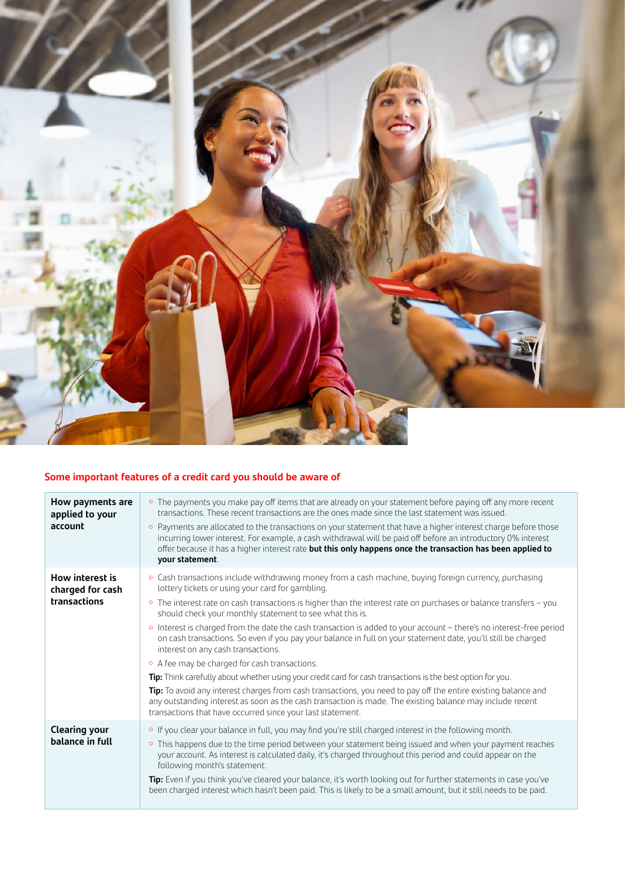

# **Some important features of a credit card you should be aware of**

| How payments are<br>applied to your<br>account      | • The payments you make pay off items that are already on your statement before paying off any more recent<br>transactions. These recent transactions are the ones made since the last statement was issued.<br>○ Payments are allocated to the transactions on your statement that have a higher interest charge before those<br>incurring lower interest. For example, a cash withdrawal will be paid off before an introductory 0% interest<br>offer because it has a higher interest rate but this only happens once the transaction has been applied to<br>your statement.                                                                                                                                                                                                                                                                                                                                                                                                                                                                                                                 |
|-----------------------------------------------------|-------------------------------------------------------------------------------------------------------------------------------------------------------------------------------------------------------------------------------------------------------------------------------------------------------------------------------------------------------------------------------------------------------------------------------------------------------------------------------------------------------------------------------------------------------------------------------------------------------------------------------------------------------------------------------------------------------------------------------------------------------------------------------------------------------------------------------------------------------------------------------------------------------------------------------------------------------------------------------------------------------------------------------------------------------------------------------------------------|
| How interest is<br>charged for cash<br>transactions | ○ Cash transactions include withdrawing money from a cash machine, buying foreign currency, purchasing<br>lottery tickets or using your card for gambling.<br>○ The interest rate on cash transactions is higher than the interest rate on purchases or balance transfers - you<br>should check your monthly statement to see what this is.<br>Interest is charged from the date the cash transaction is added to your account - there's no interest-free period<br>$\circ$<br>on cash transactions. So even if you pay your balance in full on your statement date, you'll still be charged<br>interest on any cash transactions.<br>• A fee may be charged for cash transactions.<br>Tip: Think carefully about whether using your credit card for cash transactions is the best option for you.<br>Tip: To avoid any interest charges from cash transactions, you need to pay off the entire existing balance and<br>any outstanding interest as soon as the cash transaction is made. The existing balance may include recent<br>transactions that have occurred since your last statement. |
| <b>Clearing your</b><br>balance in full             | o If you clear your balance in full, you may find you're still charged interest in the following month.<br>This happens due to the time period between your statement being issued and when your payment reaches<br>$\circ$<br>your account. As interest is calculated daily, it's charged throughout this period and could appear on the<br>following month's statement.<br>Tip: Even if you think you've cleared your balance, it's worth looking out for further statements in case you've<br>been charged interest which hasn't been paid. This is likely to be a small amount, but it still needs to be paid.                                                                                                                                                                                                                                                                                                                                                                                                                                                                              |